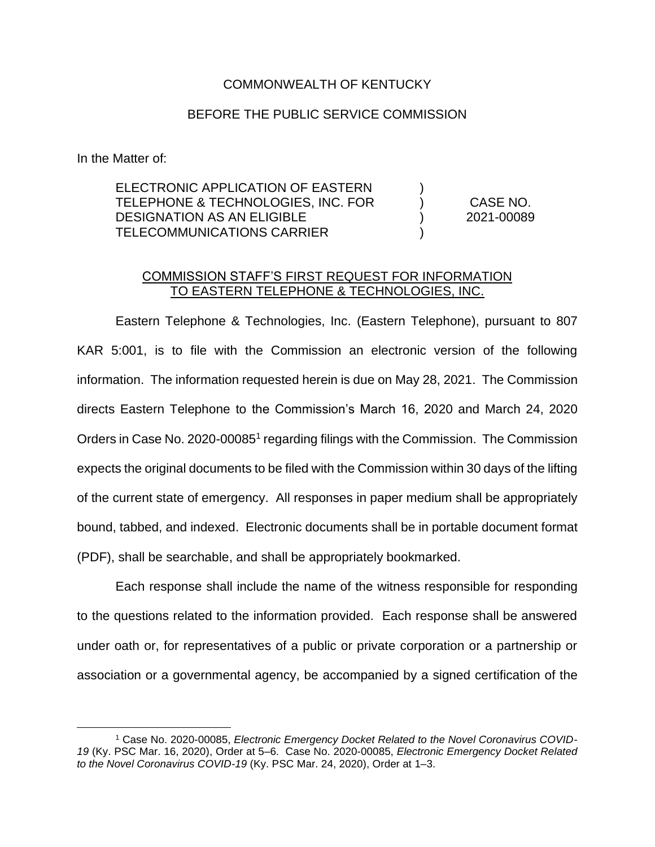## COMMONWEALTH OF KENTUCKY

## BEFORE THE PUBLIC SERVICE COMMISSION

In the Matter of:

| ELECTRONIC APPLICATION OF EASTERN  |            |
|------------------------------------|------------|
| TELEPHONE & TECHNOLOGIES, INC. FOR | CASE NO.   |
| DESIGNATION AS AN ELIGIBLE         | 2021-00089 |
| TELECOMMUNICATIONS CARRIER         |            |

## COMMISSION STAFF'S FIRST REQUEST FOR INFORMATION TO EASTERN TELEPHONE & TECHNOLOGIES, INC.

Eastern Telephone & Technologies, Inc. (Eastern Telephone), pursuant to 807 KAR 5:001, is to file with the Commission an electronic version of the following information. The information requested herein is due on May 28, 2021. The Commission directs Eastern Telephone to the Commission's March 16, 2020 and March 24, 2020 Orders in Case No. 2020-00085<sup>1</sup> regarding filings with the Commission. The Commission expects the original documents to be filed with the Commission within 30 days of the lifting of the current state of emergency. All responses in paper medium shall be appropriately bound, tabbed, and indexed. Electronic documents shall be in portable document format (PDF), shall be searchable, and shall be appropriately bookmarked.

Each response shall include the name of the witness responsible for responding to the questions related to the information provided. Each response shall be answered under oath or, for representatives of a public or private corporation or a partnership or association or a governmental agency, be accompanied by a signed certification of the

<sup>1</sup> Case No. 2020-00085, *Electronic Emergency Docket Related to the Novel Coronavirus COVID-19* (Ky. PSC Mar. 16, 2020), Order at 5–6. Case No. 2020-00085, *Electronic Emergency Docket Related to the Novel Coronavirus COVID-19* (Ky. PSC Mar. 24, 2020), Order at 1–3.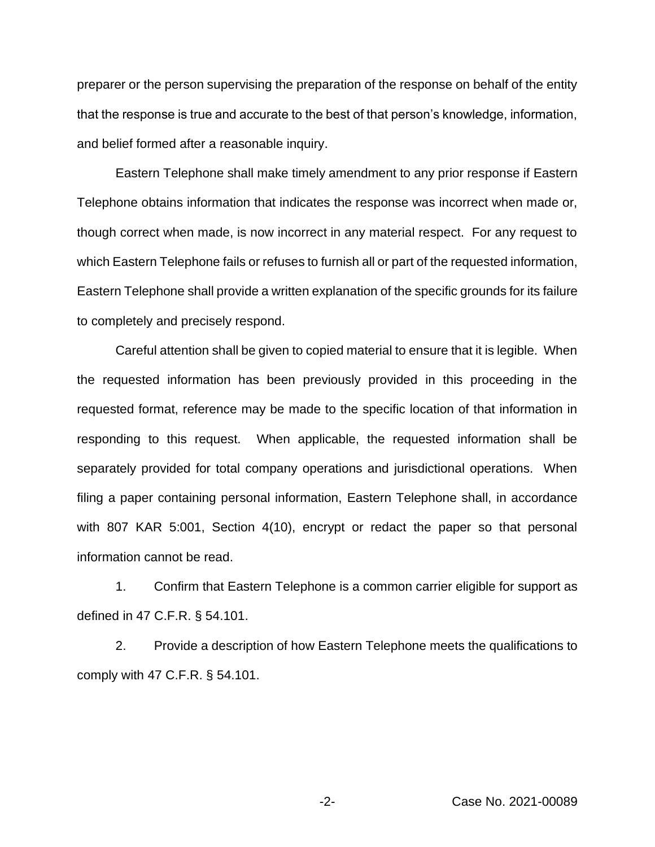preparer or the person supervising the preparation of the response on behalf of the entity that the response is true and accurate to the best of that person's knowledge, information, and belief formed after a reasonable inquiry.

Eastern Telephone shall make timely amendment to any prior response if Eastern Telephone obtains information that indicates the response was incorrect when made or, though correct when made, is now incorrect in any material respect. For any request to which Eastern Telephone fails or refuses to furnish all or part of the requested information, Eastern Telephone shall provide a written explanation of the specific grounds for its failure to completely and precisely respond.

Careful attention shall be given to copied material to ensure that it is legible. When the requested information has been previously provided in this proceeding in the requested format, reference may be made to the specific location of that information in responding to this request. When applicable, the requested information shall be separately provided for total company operations and jurisdictional operations. When filing a paper containing personal information, Eastern Telephone shall, in accordance with 807 KAR 5:001, Section 4(10), encrypt or redact the paper so that personal information cannot be read.

1. Confirm that Eastern Telephone is a common carrier eligible for support as defined in 47 C.F.R. § 54.101.

2. Provide a description of how Eastern Telephone meets the qualifications to comply with 47 C.F.R. § 54.101.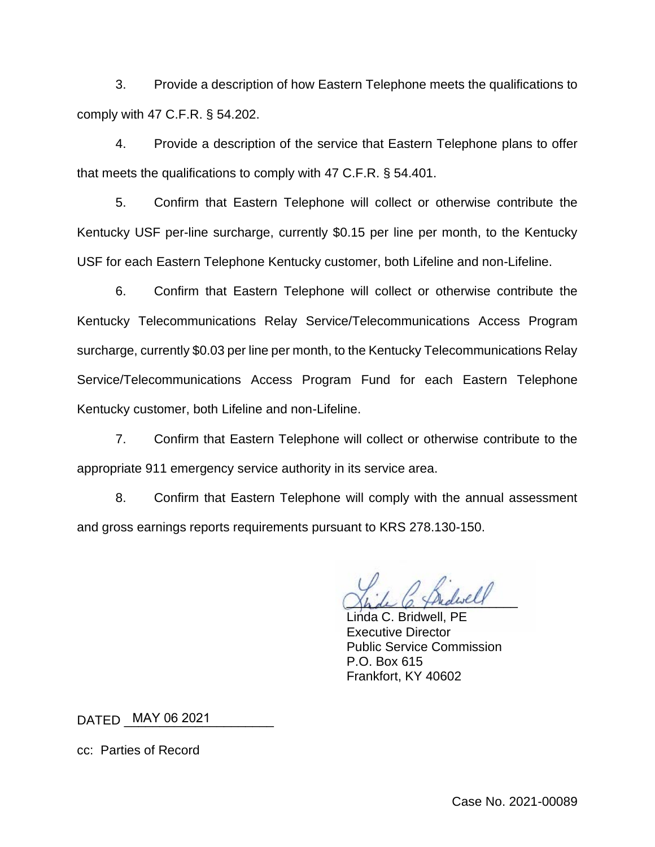3. Provide a description of how Eastern Telephone meets the qualifications to comply with 47 C.F.R. § 54.202.

4. Provide a description of the service that Eastern Telephone plans to offer that meets the qualifications to comply with 47 C.F.R. § 54.401.

5. Confirm that Eastern Telephone will collect or otherwise contribute the Kentucky USF per-line surcharge, currently \$0.15 per line per month, to the Kentucky USF for each Eastern Telephone Kentucky customer, both Lifeline and non-Lifeline.

6. Confirm that Eastern Telephone will collect or otherwise contribute the Kentucky Telecommunications Relay Service/Telecommunications Access Program surcharge, currently \$0.03 per line per month, to the Kentucky Telecommunications Relay Service/Telecommunications Access Program Fund for each Eastern Telephone Kentucky customer, both Lifeline and non-Lifeline.

7. Confirm that Eastern Telephone will collect or otherwise contribute to the appropriate 911 emergency service authority in its service area.

8. Confirm that Eastern Telephone will comply with the annual assessment and gross earnings reports requirements pursuant to KRS 278.130-150.

Shde C. Thidiself

Linda C. Bridwell, PE Executive Director Public Service Commission P.O. Box 615 Frankfort, KY 40602

DATED \_\_\_\_\_\_\_\_\_\_\_\_\_\_\_\_\_\_\_\_\_ MAY 06 2021

cc: Parties of Record